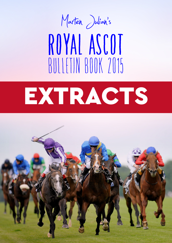

# **ROYAL ASCOT** BULLETIN BOOK 2015

# EXTRACTS

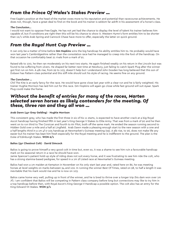# *From the Prince Of Wales's Stakes Preview …*

Free Eagle's position at the head of the market owes more to his reputation and potential than racecourse achievements. He does not, though, have a great deal to find on the book and his trainer is seldom far adrift in his assessment of a horse's class.

#### *The Conclusion...*

I would not want to oppose Free Eagle. He has not yet had the chance to display the level of talent his trainer believes him capable of, but if conditions are right then this will be his chance to show it. Western Hymn's form entitles him to be shorter than 12/1 while Arab Spring and Cannock Chase have more to offer, especially the latter on quick ground.

# *From the Royal Hunt Cup Preview …*

It can only be a matter of time before **Gm Hopkins** wins the big handicap his ability entitles him to. He probably would have won last year's Cambridgeshire rather than the consolation race had he managed to creep into the foot of the handicap. On that occasion he comfortably beat 21 rivals from a mark of 91.

Raised 9lb to 100, he then ran moderately on his next two starts. He again finished weakly on his return in the Lincoln but was found to be suffering from ulcers. He shaped far better next time at Newbury, just failing to catch Spark Plug after the winner got first run on him. A 4lb rise, from 99 to 103, doesn't help but I understand John Gosden has long believed that this son of Dubawi has Pattern-class potential and this stiff mile should suit his style of racing. He seems fine on any ground.

#### *The Conclusion …*

Chil The Kite is an early fancy for the race. He would have gone close last year with a clear run and he is fairly weighted. His trainer Hughie Morrison has laid him out for this race. Gm Hopkins will again go close while fast ground will suit Ayaar. Spark Plug could make the frame.

### *Without the benefit of entries for many of the races, Marten selected seven horses as likely contenders for the meeting. Of these, three ran and they all won ...*

#### **Arab Dawn (4yr Grey Gelding)** - **Hughie Morrison**

This consistent grey, who has made the first three in six of his 11 starts, is expected to have another crack at a big Royal Ascot handicap having finished fifth in last year's King George V Stakes to Elite Army. That was from a mark of 90 and he then went on to run third to The Corsican and fourth to Air Pilot, both off the same mark. He ended the season running second to Hidden Gold over a mile and a half at Lingfield. Arab Dawn made a pleasing enough start to the new season with a one and a half lengths third in a 1m 4f 0-105 handicap at Newmarket's Guineas meeting (93). A 3lb rise, to 96, does not make life any easier but his trainer has kept him fresh especially for the Royal meeting and he is indifferent to the ground. The plan is the Duke of Edinburgh Stakes. **WON 6/1**

#### **Balios (3yr Chestnut Colt)** - **David Simcock**

Balios is going to prove himself a very good colt in time but, even so, it was a shame to see him ruin a favourable handicap mark on his seasonal return in a race he should have won.

Jamie Spencer's patient hold-up style of riding does not suit every horse, and it was frustrating to see him ride the colt, who has a strong stamina-based pedigree, for speed in a 1m 2f Listed race at Newmarket's Guineas meeting.

Balios had won a 1m maiden at Kempton in November on his only start last year and, rated here on 86, he was meeting horses at level weights on marks between 94 and 102. In running the winner Best Of Times, rated on 98, to half a length it was inevitable that his mark would rise and he is now on 103.

Balios came home very well, pulling up in front of the winner, and he is bred to thrive over a longer trip (his dam won over 1m 7f). I am confident that Balios will be competing in Pattern class company before long but connections may like to try him in a top handicap before then, with Royal Ascot's King George V Handicap a possible option. The colt also has an entry for the King Edward VII Stakes. **WON 3/1**